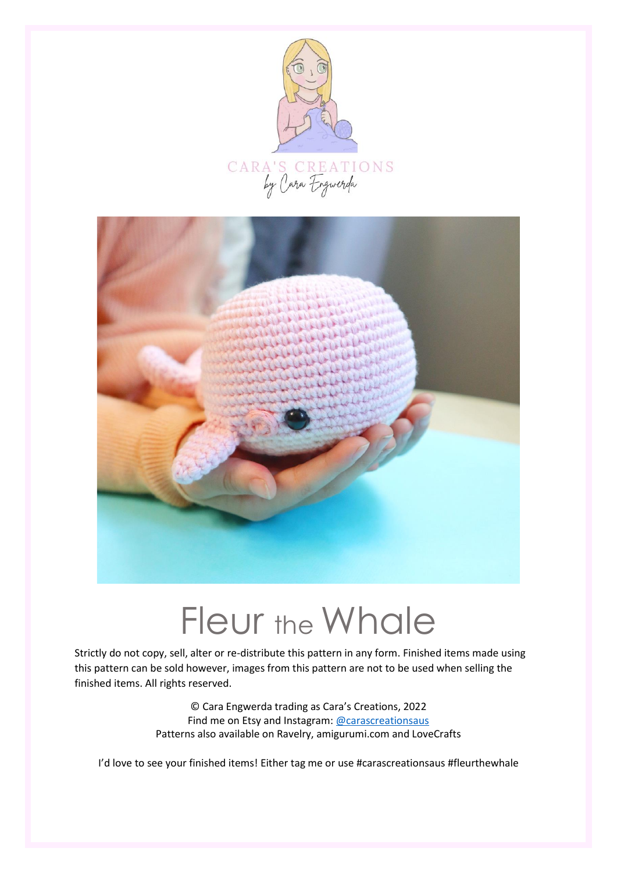



# Fleur the Whale

Strictly do not copy, sell, alter or re-distribute this pattern in any form. Finished items made using this pattern can be sold however, images from this pattern are not to be used when selling the finished items. All rights reserved.

> © Cara Engwerda trading as Cara's Creations, 2022 Find me on Etsy and Instagram: [@carascreationsaus](http://www.instagram.com/carascreationsaus) Patterns also available on Ravelry, amigurumi.com and LoveCrafts

I'd love to see your finished items! Either tag me or use #carascreationsaus #fleurthewhale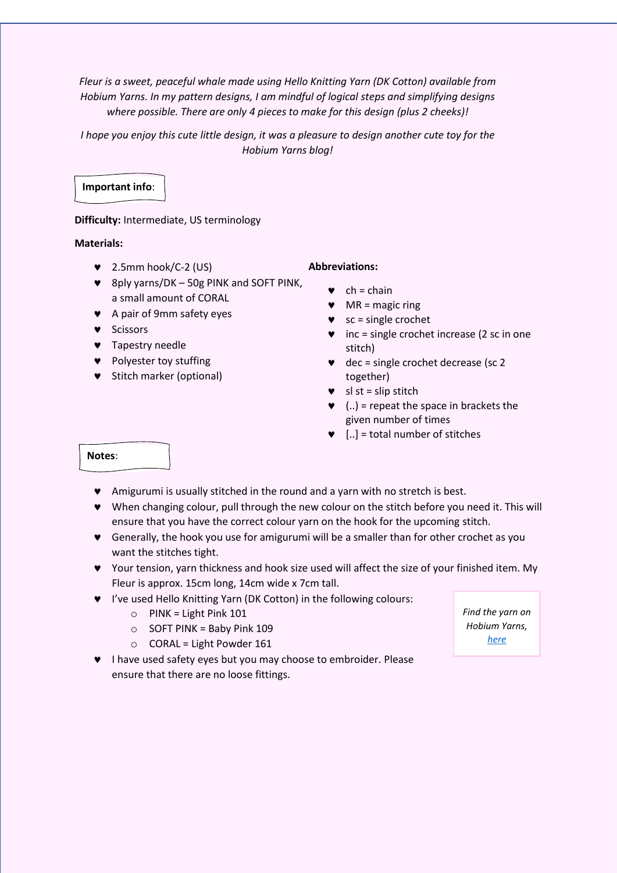*Fleur is a sweet, peaceful whale made using Hello Knitting Yarn (DK Cotton) available from Hobium Yarns. In my pattern designs, I am mindful of logical steps and simplifying designs where possible. There are only 4 pieces to make for this design (plus 2 cheeks)!*

*I hope you enjoy this cute little design, it was a pleasure to design another cute toy for the Hobium Yarns blog!*

# **Important info**:

### **Difficulty:** Intermediate, US terminology

### **Materials:**

- 2.5mm hook/C-2 (US)
- 8ply yarns/DK 50g PINK and SOFT PINK, a small amount of CORAL
- A pair of 9mm safety eyes
- **v** Scissors
- **v** Tapestry needle
- **v** Polyester toy stuffing
- **v** Stitch marker (optional)

### **Abbreviations:**

- $\bullet$  ch = chain
- $\n **MR** = magic ring$
- $\bullet$  sc = single crochet
- $\bullet$  inc = single crochet increase (2 sc in one stitch)
- $\bullet$  dec = single crochet decrease (sc 2 together)
- $\bullet$  sl st = slip stitch
- $\bullet$  (..) = repeat the space in brackets the given number of times
- $\bullet$  [..] = total number of stitches

#### **Notes**:

- Amigurumi is usually stitched in the round and a yarn with no stretch is best.
- When changing colour, pull through the new colour on the stitch before you need it. This will ensure that you have the correct colour yarn on the hook for the upcoming stitch.
- Generally, the hook you use for amigurumi will be a smaller than for other crochet as you want the stitches tight.
- Your tension, yarn thickness and hook size used will affect the size of your finished item. My Fleur is approx. 15cm long, 14cm wide x 7cm tall.
- I've used Hello Knitting Yarn (DK Cotton) in the following colours:
	- $\circ$  PINK = Light Pink 101
	- o SOFT PINK = Baby Pink 109
	- $O$  CORAL = Light Powder 161
- I have used safety eyes but you may choose to embroider. Please ensure that there are no loose fittings.

*Find the yarn on Hobium Yarns, [here](https://www.hobiumyarns.com/urun/detay/hello-knitting-yarn-vermilion-108?_sgm_campaign=scn_984dad05cc000&_sgm_source=62827&_sgm_action=click)*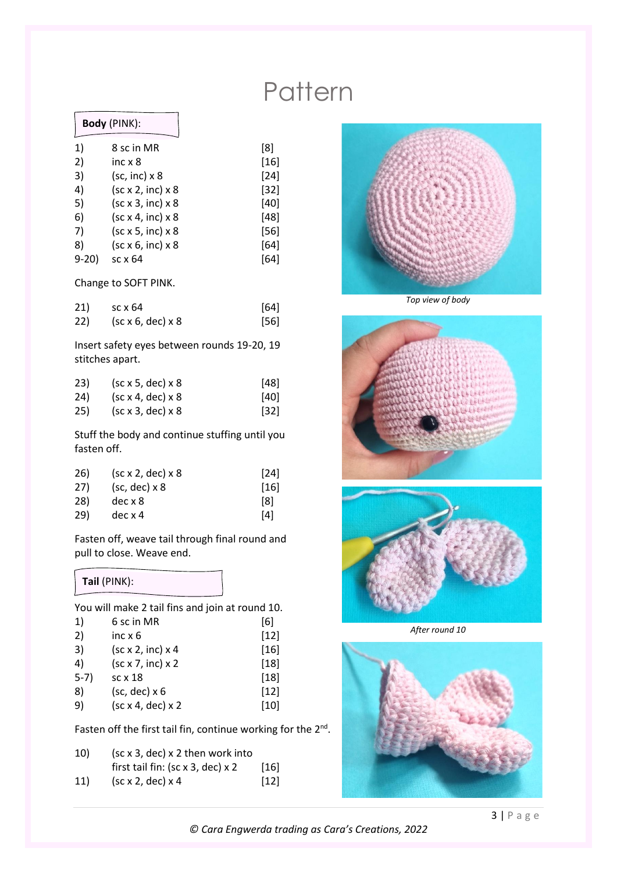# **Pattern**

### **Body** (PINK):

| 1)       | 8 sc in MR                                  | [8]    |
|----------|---------------------------------------------|--------|
| 2)       | inc $\times 8$                              | $[16]$ |
| 3)       | $(sc, inc) \times 8$                        | $[24]$ |
| 4)       | $(\text{sc} \times 2, \text{inc}) \times 8$ | $[32]$ |
| 5)       | $(\text{sc} \times 3, \text{inc}) \times 8$ | $[40]$ |
| 6)       | $(\text{sc } x 4, \text{inc}) x 8$          | [48]   |
| 7)       | (sc x 5, inc) x 8                           | $[56]$ |
| 8)       | (sc x 6, inc) x 8                           | [64]   |
| $9 - 20$ | sc x 64                                     | [64]   |
|          |                                             |        |

Change to SOFT PINK.

| 21) | sc x 64                                     | $[64]$ |
|-----|---------------------------------------------|--------|
| 22) | $(\text{sc} \times 6, \text{dec}) \times 8$ | [56]   |

Insert safety eyes between rounds 19-20, 19 stitches apart.

| 23) | $(\text{sc} \times 5, \text{dec}) \times 8$ | [48]                          |
|-----|---------------------------------------------|-------------------------------|
| 24) | $(\text{sc} \times 4, \text{dec}) \times 8$ | [40]                          |
| 25) | (sc x 3, dec) x 8                           | $\left\lceil 32 \right\rceil$ |

Stuff the body and continue stuffing until you fasten off.

| 26) | $(\text{sc} \times 2, \text{dec}) \times 8$ | $[24]$ |
|-----|---------------------------------------------|--------|
| 27) | $(sc, dec) \times 8$                        | $[16]$ |
| 28) | $dec \times 8$                              | [8]    |
| 29) | $dec \times 4$                              | [4]    |

Fasten off, weave tail through final round and pull to close. Weave end.

### **Tail** (PINK):

You will make 2 tail fins and join at round 10.<br>1) Cas in MP

| 1)     | 6 sc in MR                                  | [6]    |
|--------|---------------------------------------------|--------|
| 2)     | inc $x_6$                                   | $[12]$ |
| 3)     | (sc x 2, inc) x 4                           | $[16]$ |
| 4)     | $(\text{sc } x 7, \text{inc}) x 2$          | $[18]$ |
| $5-7)$ | $sc \times 18$                              | $[18]$ |
| 8)     | $(sc, dec) \times 6$                        | $[12]$ |
| 9)     | $(\text{sc} \times 4, \text{dec}) \times 2$ | $[10]$ |
|        |                                             |        |

Fasten off the first tail fin, continue working for the  $2^{nd}$ .

| 10) | $(\text{sc} \times 3, \text{dec}) \times 2$ then work into  |        |
|-----|-------------------------------------------------------------|--------|
|     | first tail fin: $(\text{sc} \times 3, \text{dec}) \times 2$ | $[16]$ |
| 11) | $(\text{sc} \times 2, \text{dec}) \times 4$                 | $[12]$ |



*Top view of body*





*After round 10*



*© Cara Engwerda trading as Cara's Creations, 2022*

3 | P a g e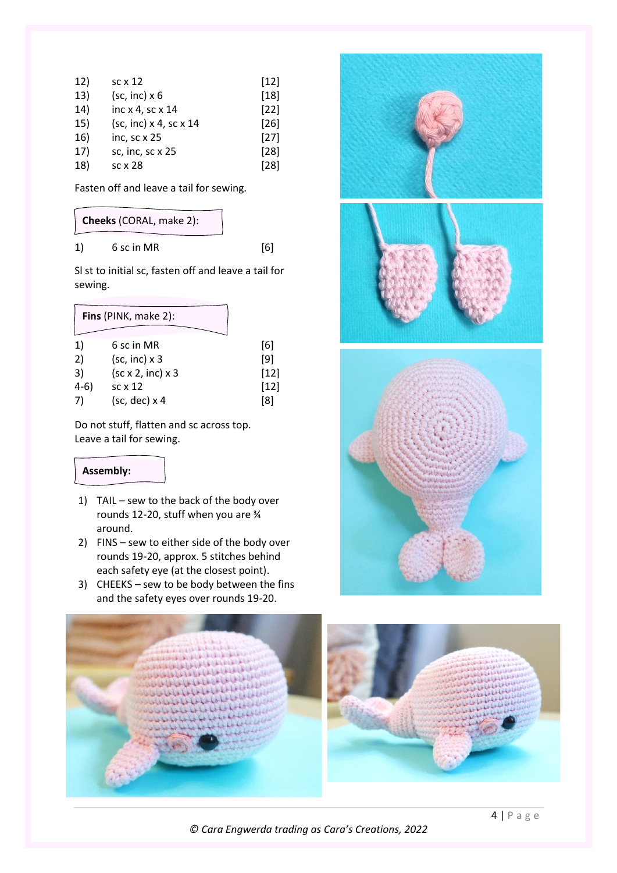| 12) | $sc \times 12$         | $[12]$ |
|-----|------------------------|--------|
| 13) | $(sc, inc) \times 6$   | $[18]$ |
| 14) | inc x 4, sc x 14       | $[22]$ |
| 15) | (sc, inc) x 4, sc x 14 | $[26]$ |
| 16) | inc, sc x 25           | $[27]$ |
| 17) | sc, inc, sc x 25       | $[28]$ |
| 18) | sc x 28                | $[28]$ |

Fasten off and leave a tail for sewing.

### **Cheeks** (CORAL, make 2):

1) 6 sc in MR [6]

Sl st to initial sc, fasten off and leave a tail for sewing.

|        | Fins (PINK, make 2):                        |        |
|--------|---------------------------------------------|--------|
| 1)     | 6 sc in MR                                  | [6]    |
| 2)     | $(sc, inc) \times 3$                        | [9]    |
| 3)     | $(\text{sc} \times 2, \text{inc}) \times 3$ | $[12]$ |
| $4-6)$ | $sc \times 12$                              | $[12]$ |
| 7)     | $(sc, dec) \times 4$                        | ſΧ     |

Do not stuff, flatten and sc across top. Leave a tail for sewing.

## **Assembly:**

- 1) TAIL sew to the back of the body over rounds 12-20, stuff when you are ¾ around.
- 2) FINS sew to either side of the body over rounds 19-20, approx. 5 stitches behind each safety eye (at the closest point).
- 3) CHEEKS sew to be body between the fins and the safety eyes over rounds 19-20.





*© Cara Engwerda trading as Cara's Creations, 2022*

4 | P a g e